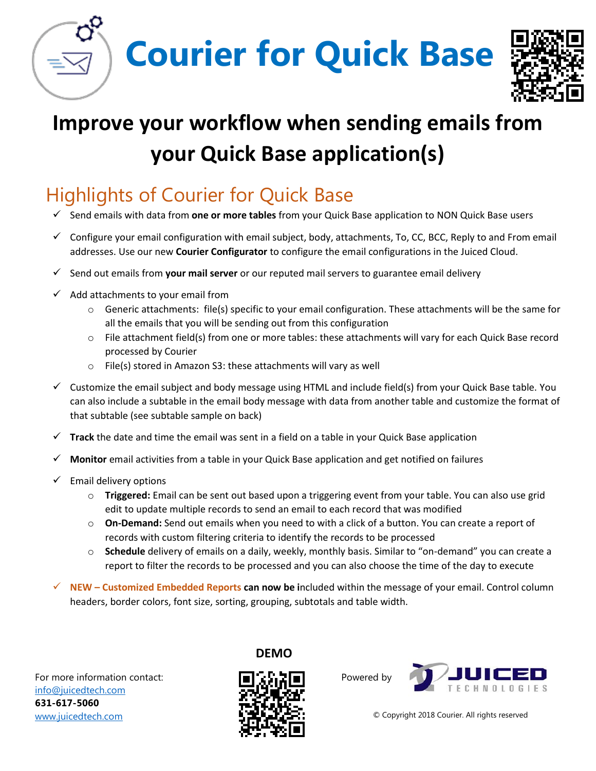**Courier for Quick Base**



## **Improve your workflow when sending emails from your Quick Base application(s)**

## Highlights of Courier for Quick Base

- Send emails with data from **one or more tables** from your Quick Base application to NON Quick Base users
- $\checkmark$  Configure your email configuration with email subject, body, attachments, To, CC, BCC, Reply to and From email addresses. Use our new **Courier Configurator** to configure the email configurations in the Juiced Cloud.
- Send out emails from **your mail server** or our reputed mail servers to guarantee email delivery
- $\checkmark$  Add attachments to your email from
	- o Generic attachments: file(s) specific to your email configuration. These attachments will be the same for all the emails that you will be sending out from this configuration
	- o File attachment field(s) from one or more tables: these attachments will vary for each Quick Base record processed by Courier
	- o File(s) stored in Amazon S3: these attachments will vary as well
- $\checkmark$  Customize the email subject and body message using HTML and include field(s) from your Quick Base table. You can also include a subtable in the email body message with data from another table and customize the format of that subtable (see subtable sample on back)
- $\checkmark$  Track the date and time the email was sent in a field on a table in your Quick Base application
- **Monitor** email activities from a table in your Quick Base application and get notified on failures
- $\checkmark$  Email delivery options
	- o **Triggered:** Email can be sent out based upon a triggering event from your table. You can also use grid edit to update multiple records to send an email to each record that was modified
	- o **On-Demand:** Send out emails when you need to with a click of a button. You can create a report of records with custom filtering criteria to identify the records to be processed
	- o **Schedule** delivery of emails on a daily, weekly, monthly basis. Similar to "on-demand" you can create a report to filter the records to be processed and you can also choose the time of the day to execute
- **NEW – Customized Embedded Reports can now be i**ncluded within the message of your email. Control column headers, border colors, font size, sorting, grouping, subtotals and table width.

For more information contact: [info@juicedtech.com](mailto:info@juicedtech.com) **631-617-5060**  [www.juicedtech.com](http://www.juicedtech.com/) 



**DEMO**

Powered by



© Copyright 2018 Courier. All rights reserved